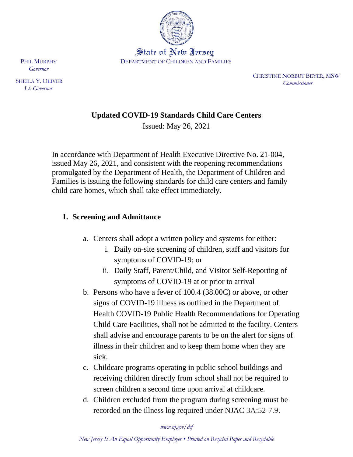

State of New Iersey DEPARTMENT OF CHILDREN AND FAMILIES

> CHRISTINE NORBUT BEYER, MSW  *Commissioner*

## **Updated COVID-19 Standards Child Care Centers**

Issued: May 26, 2021

In accordance with Department of Health Executive Directive No. 21-004, issued May 26, 2021, and consistent with the reopening recommendations promulgated by the Department of Health, the Department of Children and Families is issuing the following standards for child care centers and family child care homes, which shall take effect immediately.

### **1. Screening and Admittance**

- a. Centers shall adopt a written policy and systems for either:
	- i. Daily on-site screening of children, staff and visitors for symptoms of COVID-19; or
	- ii. Daily Staff, Parent/Child, and Visitor Self-Reporting of symptoms of COVID-19 at or prior to arrival
- b. Persons who have a fever of 100.4 (38.00C) or above, or other signs of COVID-19 illness as outlined in the Department of Health COVID-19 Public Health Recommendations for Operating Child Care Facilities, shall not be admitted to the facility. Centers shall advise and encourage parents to be on the alert for signs of illness in their children and to keep them home when they are sick.
- c. Childcare programs operating in public school buildings and receiving children directly from school shall not be required to screen children a second time upon arrival at childcare.
- d. Children excluded from the program during screening must be recorded on the illness log required under NJAC 3A:52-7.9.

*www.nj.gov/dcf*

 PHIL MURPHY  *Governor*

 SHEILA Y. OLIVER  *Lt. Governor*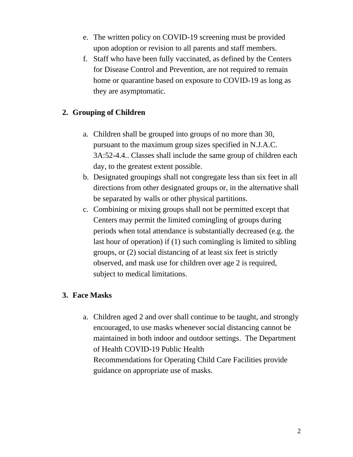- e. The written policy on COVID-19 screening must be provided upon adoption or revision to all parents and staff members.
- f. Staff who have been fully vaccinated, as defined by the Centers for Disease Control and Prevention, are not required to remain home or quarantine based on exposure to COVID-19 as long as they are asymptomatic.

# **2. Grouping of Children**

- a. Children shall be grouped into groups of no more than 30, pursuant to the maximum group sizes specified in N.J.A.C. 3A:52-4.4.. Classes shall include the same group of children each day, to the greatest extent possible.
- b. Designated groupings shall not congregate less than six feet in all directions from other designated groups or, in the alternative shall be separated by walls or other physical partitions.
- c. Combining or mixing groups shall not be permitted except that Centers may permit the limited comingling of groups during periods when total attendance is substantially decreased (e.g. the last hour of operation) if (1) such comingling is limited to sibling groups, or (2) social distancing of at least six feet is strictly observed, and mask use for children over age 2 is required, subject to medical limitations.

# **3. Face Masks**

a. Children aged 2 and over shall continue to be taught, and strongly encouraged, to use masks whenever social distancing cannot be maintained in both indoor and outdoor settings. The Department of Health COVID-19 Public Health Recommendations for Operating Child Care Facilities provide guidance on appropriate use of masks.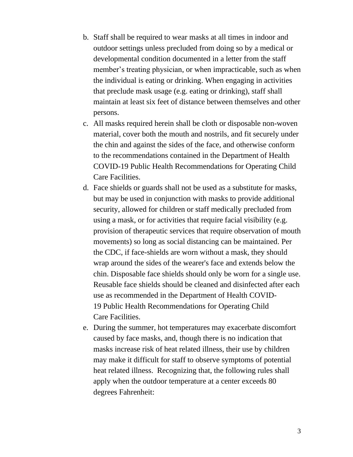- b. Staff shall be required to wear masks at all times in indoor and outdoor settings unless precluded from doing so by a medical or developmental condition documented in a letter from the staff member's treating physician, or when impracticable, such as when the individual is eating or drinking. When engaging in activities that preclude mask usage (e.g. eating or drinking), staff shall maintain at least six feet of distance between themselves and other persons.
- c. All masks required herein shall be cloth or disposable non-woven material, cover both the mouth and nostrils, and fit securely under the chin and against the sides of the face, and otherwise conform to the recommendations contained in the Department of Health COVID-19 Public Health Recommendations for Operating Child Care Facilities.
- d. Face shields or guards shall not be used as a substitute for masks, but may be used in conjunction with masks to provide additional security, allowed for children or staff medically precluded from using a mask, or for activities that require facial visibility (e.g. provision of therapeutic services that require observation of mouth movements) so long as social distancing can be maintained. Per the CDC, if face-shields are worn without a mask, they should wrap around the sides of the wearer's face and extends below the chin. Disposable face shields should only be worn for a single use. Reusable face shields should be cleaned and disinfected after each use as recommended in the Department of Health COVID-19 Public Health Recommendations for Operating Child Care Facilities.
- e. During the summer, hot temperatures may exacerbate discomfort caused by face masks, and, though there is no indication that masks increase risk of heat related illness, their use by children may make it difficult for staff to observe symptoms of potential heat related illness. Recognizing that, the following rules shall apply when the outdoor temperature at a center exceeds 80 degrees Fahrenheit: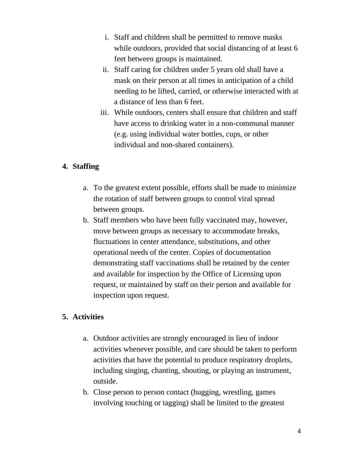- i. Staff and children shall be permitted to remove masks while outdoors, provided that social distancing of at least 6 feet between groups is maintained.
- ii. Staff caring for children under 5 years old shall have a mask on their person at all times in anticipation of a child needing to be lifted, carried, or otherwise interacted with at a distance of less than 6 feet.
- iii. While outdoors, centers shall ensure that children and staff have access to drinking water in a non-communal manner (e.g. using individual water bottles, cups, or other individual and non-shared containers).

# **4. Staffing**

- a. To the greatest extent possible, efforts shall be made to minimize the rotation of staff between groups to control viral spread between groups.
- b. Staff members who have been fully vaccinated may, however, move between groups as necessary to accommodate breaks, fluctuations in center attendance, substitutions, and other operational needs of the center. Copies of documentation demonstrating staff vaccinations shall be retained by the center and available for inspection by the Office of Licensing upon request, or maintained by staff on their person and available for inspection upon request.

### **5. Activities**

- a. Outdoor activities are strongly encouraged in lieu of indoor activities whenever possible, and care should be taken to perform activities that have the potential to produce respiratory droplets, including singing, chanting, shouting, or playing an instrument, outside.
- b. Close person to person contact (hugging, wrestling, games involving touching or tagging) shall be limited to the greatest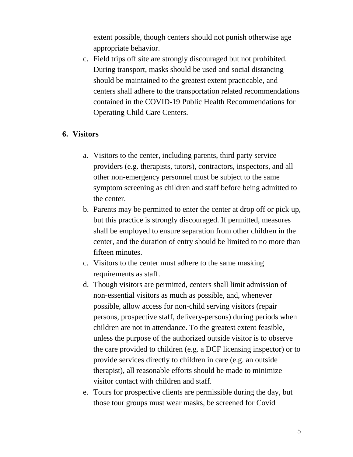extent possible, though centers should not punish otherwise age appropriate behavior.

c. Field trips off site are strongly discouraged but not prohibited. During transport, masks should be used and social distancing should be maintained to the greatest extent practicable, and centers shall adhere to the transportation related recommendations contained in the COVID-19 Public Health Recommendations for Operating Child Care Centers.

#### **6. Visitors**

- a. Visitors to the center, including parents, third party service providers (e.g. therapists, tutors), contractors, inspectors, and all other non-emergency personnel must be subject to the same symptom screening as children and staff before being admitted to the center.
- b. Parents may be permitted to enter the center at drop off or pick up, but this practice is strongly discouraged. If permitted, measures shall be employed to ensure separation from other children in the center, and the duration of entry should be limited to no more than fifteen minutes.
- c. Visitors to the center must adhere to the same masking requirements as staff.
- d. Though visitors are permitted, centers shall limit admission of non-essential visitors as much as possible, and, whenever possible, allow access for non-child serving visitors (repair persons, prospective staff, delivery-persons) during periods when children are not in attendance. To the greatest extent feasible, unless the purpose of the authorized outside visitor is to observe the care provided to children (e.g. a DCF licensing inspector) or to provide services directly to children in care (e.g. an outside therapist), all reasonable efforts should be made to minimize visitor contact with children and staff.
- e. Tours for prospective clients are permissible during the day, but those tour groups must wear masks, be screened for Covid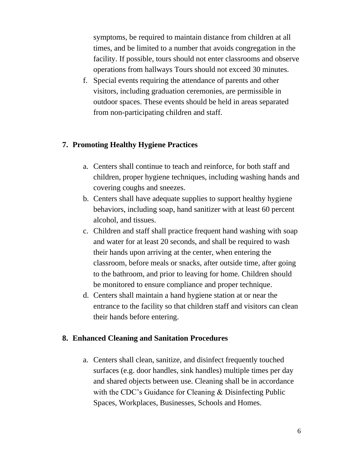symptoms, be required to maintain distance from children at all times, and be limited to a number that avoids congregation in the facility. If possible, tours should not enter classrooms and observe operations from hallways Tours should not exceed 30 minutes.

f. Special events requiring the attendance of parents and other visitors, including graduation ceremonies, are permissible in outdoor spaces. These events should be held in areas separated from non-participating children and staff.

### **7. Promoting Healthy Hygiene Practices**

- a. Centers shall continue to teach and reinforce, for both staff and children, proper hygiene techniques, including washing hands and covering coughs and sneezes.
- b. Centers shall have adequate supplies to support healthy hygiene behaviors, including soap, hand sanitizer with at least 60 percent alcohol, and tissues.
- c. Children and staff shall practice frequent hand washing with soap and water for at least 20 seconds, and shall be required to wash their hands upon arriving at the center, when entering the classroom, before meals or snacks, after outside time, after going to the bathroom, and prior to leaving for home. Children should be monitored to ensure compliance and proper technique.
- d. Centers shall maintain a hand hygiene station at or near the entrance to the facility so that children staff and visitors can clean their hands before entering.

#### **8. Enhanced Cleaning and Sanitation Procedures**

a. Centers shall clean, sanitize, and disinfect frequently touched surfaces (e.g. door handles, sink handles) multiple times per day and shared objects between use. Cleaning shall be in accordance with the CDC's Guidance for Cleaning & Disinfecting Public Spaces, Workplaces, Businesses, Schools and Homes.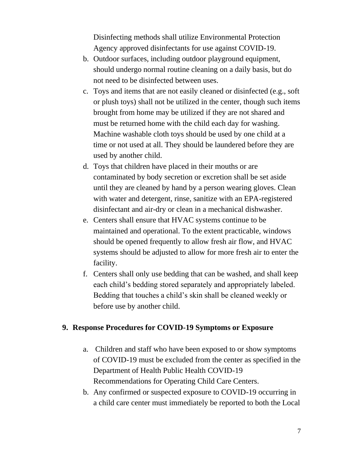Disinfecting methods shall utilize Environmental Protection Agency approved disinfectants for use against COVID-19.

- b. Outdoor surfaces, including outdoor playground equipment, should undergo normal routine cleaning on a daily basis, but do not need to be disinfected between uses.
- c. Toys and items that are not easily cleaned or disinfected (e.g., soft or plush toys) shall not be utilized in the center, though such items brought from home may be utilized if they are not shared and must be returned home with the child each day for washing. Machine washable cloth toys should be used by one child at a time or not used at all. They should be laundered before they are used by another child.
- d. Toys that children have placed in their mouths or are contaminated by body secretion or excretion shall be set aside until they are cleaned by hand by a person wearing gloves. Clean with water and detergent, rinse, sanitize with an EPA-registered disinfectant and air-dry or clean in a mechanical dishwasher.
- e. Centers shall ensure that HVAC systems continue to be maintained and operational. To the extent practicable, windows should be opened frequently to allow fresh air flow, and HVAC systems should be adjusted to allow for more fresh air to enter the facility.
- f. Centers shall only use bedding that can be washed, and shall keep each child's bedding stored separately and appropriately labeled. Bedding that touches a child's skin shall be cleaned weekly or before use by another child.

#### **9. Response Procedures for COVID-19 Symptoms or Exposure**

- a. Children and staff who have been exposed to or show symptoms of COVID-19 must be excluded from the center as specified in the Department of Health Public Health COVID-19 Recommendations for Operating Child Care Centers.
- b. Any confirmed or suspected exposure to COVID-19 occurring in a child care center must immediately be reported to both the Local